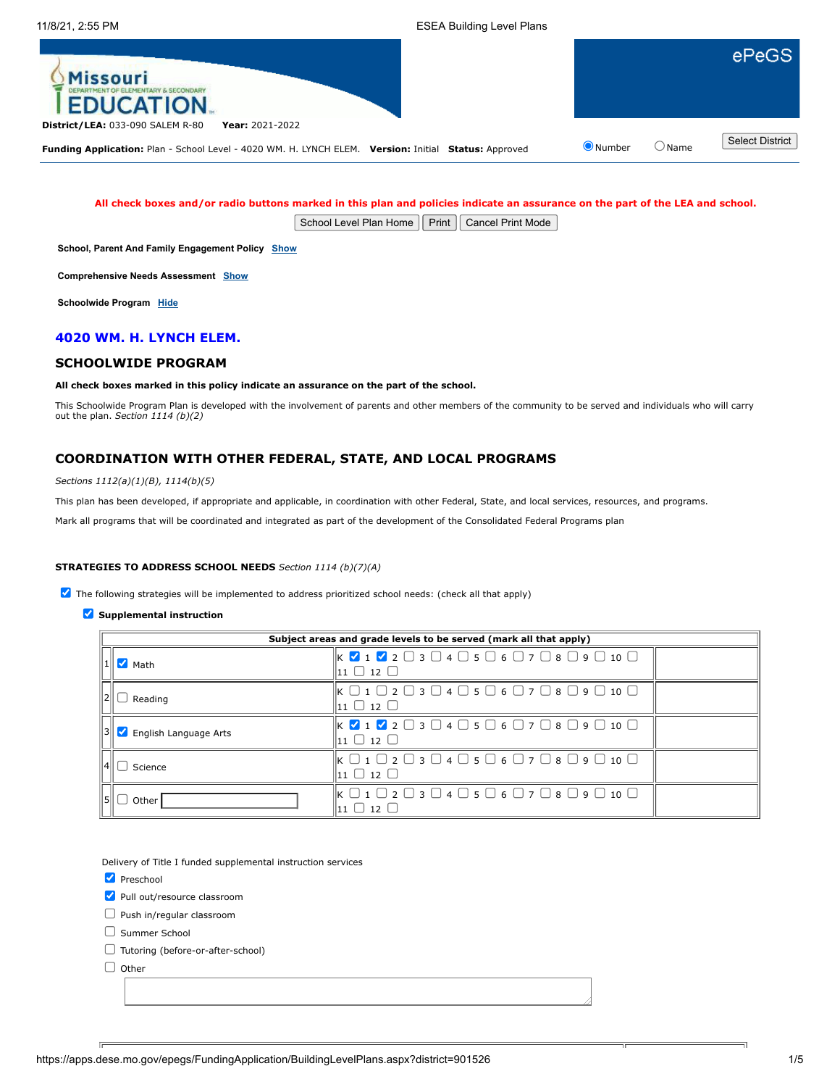

### **All check boxes and/or radio buttons marked in this plan and policies indicate an assurance on the part of the LEA and school.**

School Level Plan Home | Print | Cancel Print Mode

**School, Parent And Family Engagement Policy [Show](javascript:__doPostBack()**

**Comprehensive Needs Assessment [Show](javascript:__doPostBack()**

**Schoolwide Program [Hide](javascript:__doPostBack()**

# **4020 WM. H. LYNCH ELEM.**

#### **SCHOOLWIDE PROGRAM**

#### **All check boxes marked in this policy indicate an assurance on the part of the school.**

This Schoolwide Program Plan is developed with the involvement of parents and other members of the community to be served and individuals who will carry out the plan. *Section 1114 (b)(2)*

## **COORDINATION WITH OTHER FEDERAL, STATE, AND LOCAL PROGRAMS**

*Sections 1112(a)(1)(B), 1114(b)(5)*

This plan has been developed, if appropriate and applicable, in coordination with other Federal, State, and local services, resources, and programs.

Mark all programs that will be coordinated and integrated as part of the development of the Consolidated Federal Programs plan

#### **STRATEGIES TO ADDRESS SCHOOL NEEDS** *Section 1114 (b)(7)(A)*

 $\blacksquare$  The following strategies will be implemented to address prioritized school needs: (check all that apply)

**Supplemental instruction** 

| Subject areas and grade levels to be served (mark all that apply) |                                                                                                                                                                          |  |  |  |  |  |  |
|-------------------------------------------------------------------|--------------------------------------------------------------------------------------------------------------------------------------------------------------------------|--|--|--|--|--|--|
| $1\ $ $\vee$ Math                                                 | $\mathbb{K}$ $\mathbb{V}$ 1 $\mathbb{V}$ 2 $\Box$ 3 $\Box$ 4 $\Box$ 5 $\Box$ 6 $\Box$ 7 $\Box$ 8 $\Box$ 9 $\Box$ 10 $\Box$<br>$\ln$ 12 $\Box$                            |  |  |  |  |  |  |
| Reading                                                           | $\mathbb{R} \square$ 1 $\square$ 2 $\square$ 3 $\square$ 4 $\square$ 5 $\square$ 6 $\square$ 7 $\square$ 8 $\square$ 9 $\square$ 10 $\square$<br>$11 \square 12 \square$ |  |  |  |  |  |  |
| English Language Arts                                             | $\mathbb{K}$ $\mathbb{Z}$ 1 $\mathbb{Z}$ 2 $\Box$ 3 $\Box$ 4 $\Box$ 5 $\Box$ 6 $\Box$ 7 $\Box$ 8 $\Box$ 9 $\Box$ 10 $\Box$<br>$111 \square 12 \square$                   |  |  |  |  |  |  |
| Science                                                           | $K \ \Box \ 1 \ \Box \ 2 \ \Box \ 3 \ \Box \ 4 \ \Box \ 5 \ \Box \ 6 \ \Box \ 7 \ \Box \ 8 \ \Box \ 9 \ \Box \ 10 \ \Box$<br>$111 \square 12 \square$                    |  |  |  |  |  |  |
| Other                                                             | $\mathbb{K} \square$ 1 $\square$ 2 $\square$ 3 $\square$ 4 $\square$ 5 $\square$ 6 $\square$ 7 $\square$ 8 $\square$ 9 $\square$ 10 $\square$<br>$111 \cup 12 \cup$      |  |  |  |  |  |  |

Delivery of Title I funded supplemental instruction services

**Preschool** 

◆ Pull out/resource classroom

 $\Box$  Push in/regular classroom

 $\Box$  Summer School

Tutoring (before-or-after-school)

 $\Box$  Other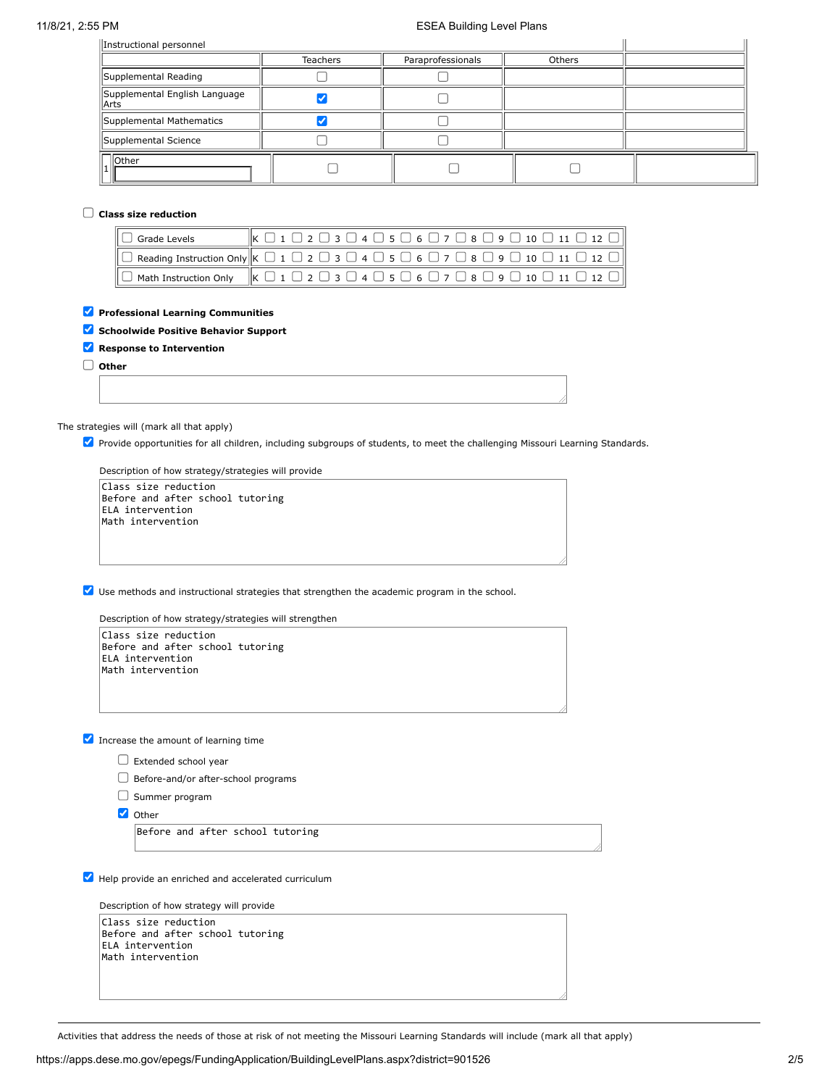#### 11/8/21, 2:55 PM ESEA Building Level Plans

| Instructional personnel                 |                 |                   |        |  |  |
|-----------------------------------------|-----------------|-------------------|--------|--|--|
|                                         | <b>Teachers</b> | Paraprofessionals | Others |  |  |
| Supplemental Reading                    |                 |                   |        |  |  |
| Supplemental English Language<br>  Arts |                 |                   |        |  |  |
| Supplemental Mathematics                |                 |                   |        |  |  |
| Supplemental Science                    |                 |                   |        |  |  |
| <b>Other</b>                            |                 |                   |        |  |  |

### **Class size reduction**

| $\Box$ Grade Levels | $\  K \Box 1 \Box 2 \Box 3 \Box 4 \Box 5 \Box 6 \Box 7 \Box 8 \Box 9 \Box 10 \Box 11 \Box 12 \Box \ $                                                                |
|---------------------|----------------------------------------------------------------------------------------------------------------------------------------------------------------------|
|                     | $\ \Box$ Reading Instruction Only $\ \kappa\ \Box\ 1\ \Box\ 2\ \Box\ 3\ \Box\ 4\ \Box\ 5\ \Box\ 6\ \Box\ 7\ \Box\ 8\ \Box\ 9\ \Box\ 10\ \Box\ 11\ \Box\ 12\ \Box \ $ |
|                     | $\ \Box$ Math Instruction Only $\ $ K $\Box$ 1 $\Box$ 2 $\Box$ 3 $\Box$ 4 $\Box$ 5 $\Box$ 6 $\Box$ 7 $\Box$ 8 $\Box$ 9 $\Box$ 10 $\Box$ 11 $\Box$ 12 $\Box \ $       |

### **Professional Learning Communities**

### **Schoolwide Positive Behavior Support**

### **Response to Intervention**

**Other**

#### The strategies will (mark all that apply)

Provide opportunities for all children, including subgroups of students, to meet the challenging Missouri Learning Standards.

Description of how strategy/strategies will provide Class size reduction

Before and after school tutoring ELA intervention Math intervention

Use methods and instructional strategies that strengthen the academic program in the school.

Description of how strategy/strategies will strengthen

Class size reduction Before and after school tutoring ELA intervention Math intervention

 $\blacksquare$  Increase the amount of learning time

- $\Box$  Extended school year
- $\Box$  Before-and/or after-school programs
- $\Box$  Summer program
- Other

Before and after school tutoring

 $\blacktriangleright$  Help provide an enriched and accelerated curriculum

Description of how strategy will provide

Class size reduction Before and after school tutoring ELA intervention Math intervention

Activities that address the needs of those at risk of not meeting the Missouri Learning Standards will include (mark all that apply)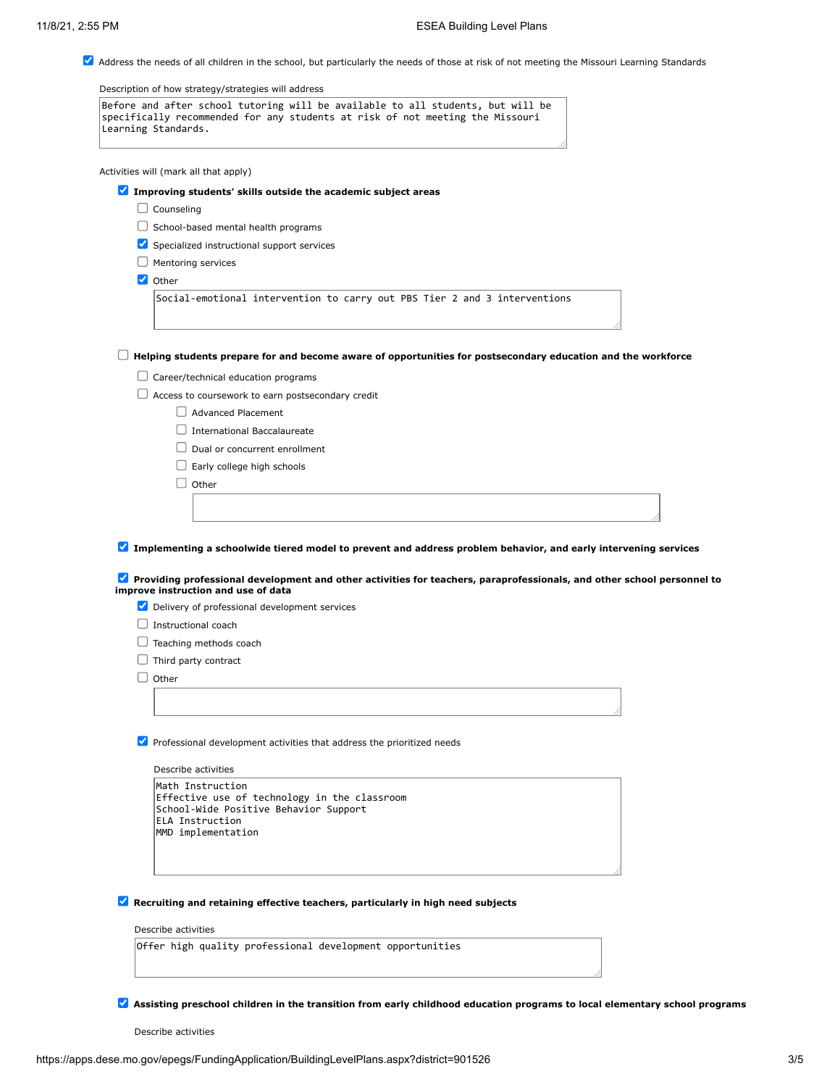Address the needs of all children in the school, but particularly the needs of those at risk of not meeting the Missouri Learning Standards

| Description of how strategy/strategies will address                                                                                                                                                                                                 |
|-----------------------------------------------------------------------------------------------------------------------------------------------------------------------------------------------------------------------------------------------------|
| Before and after school tutoring will be available to all students, but will be<br>specifically recommended for any students at risk of not meeting the Missouri<br>Learning Standards.                                                             |
| Activities will (mark all that apply)                                                                                                                                                                                                               |
|                                                                                                                                                                                                                                                     |
| $\blacktriangleright$ Improving students' skills outside the academic subject areas                                                                                                                                                                 |
| $\Box$ Counseling                                                                                                                                                                                                                                   |
| $\Box$ School-based mental health programs                                                                                                                                                                                                          |
| Specialized instructional support services                                                                                                                                                                                                          |
| Mentoring services                                                                                                                                                                                                                                  |
| Other                                                                                                                                                                                                                                               |
| Social-emotional intervention to carry out PBS Tier 2 and 3 interventions                                                                                                                                                                           |
| Helping students prepare for and become aware of opportunities for postsecondary education and the workforce<br>Career/technical education programs<br>Access to coursework to earn postsecondary credit                                            |
| $\Box$ Advanced Placement                                                                                                                                                                                                                           |
| <b>International Baccalaureate</b>                                                                                                                                                                                                                  |
| $\Box$ Dual or concurrent enrollment                                                                                                                                                                                                                |
|                                                                                                                                                                                                                                                     |
| $\Box$ Early college high schools                                                                                                                                                                                                                   |
| Other                                                                                                                                                                                                                                               |
|                                                                                                                                                                                                                                                     |
| Implementing a schoolwide tiered model to prevent and address problem behavior, and early intervening services                                                                                                                                      |
| Providing professional development and other activities for teachers, paraprofessionals, and other school personnel to<br>improve instruction and use of data<br>Delivery of professional development services                                      |
| Instructional coach                                                                                                                                                                                                                                 |
| Teaching methods coach                                                                                                                                                                                                                              |
| Third party contract                                                                                                                                                                                                                                |
| Other                                                                                                                                                                                                                                               |
| Professional development activities that address the prioritized needs<br>Describe activities<br>Math Instruction<br>Effective use of technology in the classroom<br>School-Wide Positive Behavior Support<br>ELA Instruction<br>MMD implementation |

**Assisting preschool children in the transition from early childhood education programs to local elementary school programs**

Describe activities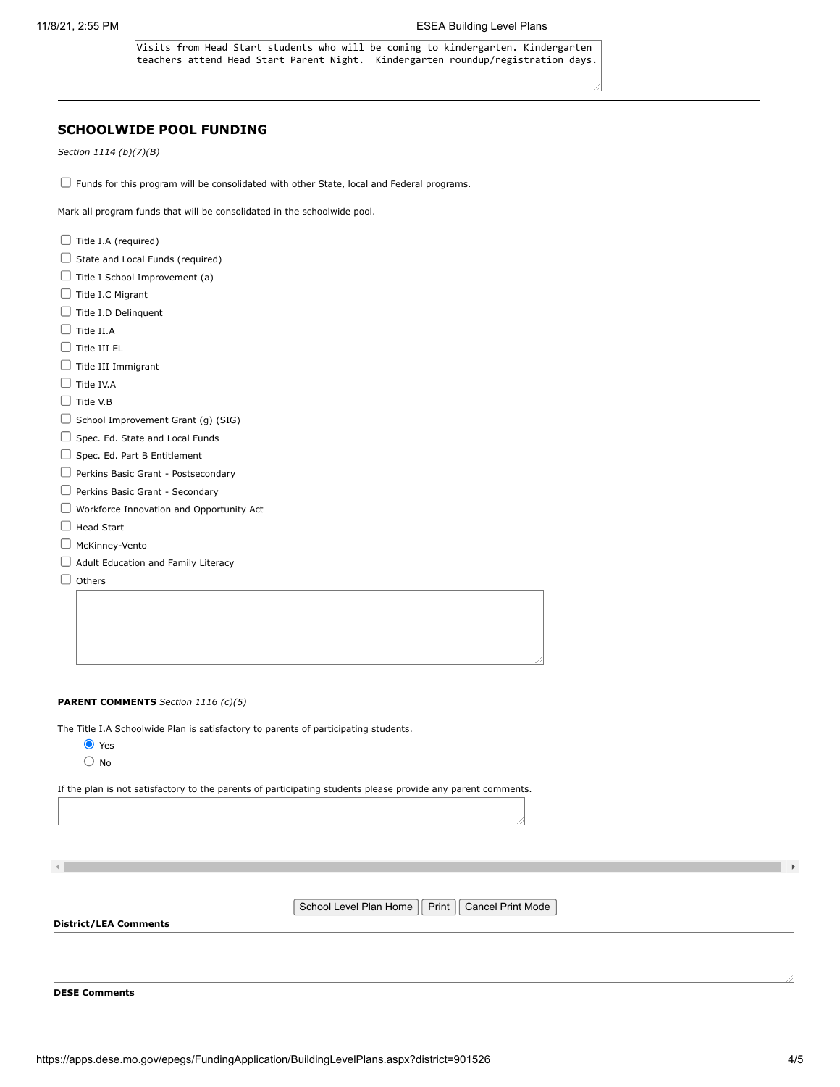Visits from Head Start students who will be coming to kindergarten. Kindergarten teachers attend Head Start Parent Night. Kindergarten roundup/registration days.

# **SCHOOLWIDE POOL FUNDING**

*Section 1114 (b)(7)(B)*

 $\Box$  Funds for this program will be consolidated with other State, local and Federal programs.

Mark all program funds that will be consolidated in the schoolwide pool.

| Title I.A (required)                     |
|------------------------------------------|
| State and Local Funds (required)         |
| Title I School Improvement (a)           |
| Title I.C Migrant                        |
| Title I.D Delinguent                     |
| Title II.A                               |
| Title III EL                             |
| Title III Immigrant                      |
| Title IV.A                               |
| Title V.B                                |
| School Improvement Grant (g) (SIG)       |
| Spec. Ed. State and Local Funds          |
| Spec. Ed. Part B Entitlement             |
| Perkins Basic Grant - Postsecondary      |
| Perkins Basic Grant - Secondary          |
| Workforce Innovation and Opportunity Act |
| <b>Head Start</b>                        |
| McKinney-Vento                           |
| Adult Education and Family Literacy      |
| Others                                   |
|                                          |
|                                          |

#### **PARENT COMMENTS** *Section 1116 (c)(5)*

The Title I.A Schoolwide Plan is satisfactory to parents of participating students.

| ×<br>۰.<br>M.<br>٠ |
|--------------------|
|                    |

If the plan is not satisfactory to the parents of participating students please provide any parent comments.

School Level Plan Home | Print | Cancel Print Mode

#### **District/LEA Comments**

**DESE Comments**

 $\rightarrow$